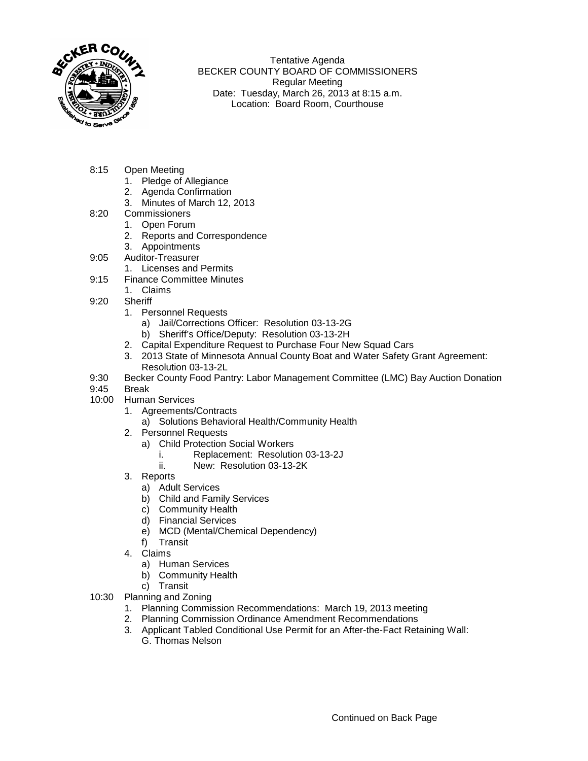

Tentative Agenda BECKER COUNTY BOARD OF COMMISSIONERS Regular Meeting Date: Tuesday, March 26, 2013 at 8:15 a.m. Location: Board Room, Courthouse

- 8:15 Open Meeting
	- 1. Pledge of Allegiance
	- 2. Agenda Confirmation
	- 3. Minutes of March 12, 2013
- 8:20 Commissioners
	- 1. Open Forum
	- 2. Reports and Correspondence
	- 3. Appointments
- 9:05 Auditor-Treasurer
	- 1. Licenses and Permits
- 9:15 Finance Committee Minutes
	- 1. Claims
- 9:20 Sheriff
	- 1. Personnel Requests
		- a) Jail/Corrections Officer: Resolution 03-13-2G
		- b) Sheriff's Office/Deputy: Resolution 03-13-2H
	- 2. Capital Expenditure Request to Purchase Four New Squad Cars
	- 3. 2013 State of Minnesota Annual County Boat and Water Safety Grant Agreement: Resolution 03-13-2L
- 9:30 Becker County Food Pantry: Labor Management Committee (LMC) Bay Auction Donation
- 9:45 Break
- 10:00 Human Services
	- 1. Agreements/Contracts
		- a) Solutions Behavioral Health/Community Health
	- 2. Personnel Requests
		- a) Child Protection Social Workers
			- i. Replacement: Resolution 03-13-2J
			- ii. New: Resolution 03-13-2K
	- 3. Reports
		- a) Adult Services
		- b) Child and Family Services
		- c) Community Health
		- d) Financial Services
		- e) MCD (Mental/Chemical Dependency)
		- f) Transit
	- 4. Claims
		- a) Human Services
		- b) Community Health
		- c) Transit
- 10:30 Planning and Zoning
	- 1. Planning Commission Recommendations: March 19, 2013 meeting
	- 2. Planning Commission Ordinance Amendment Recommendations
	- 3. Applicant Tabled Conditional Use Permit for an After-the-Fact Retaining Wall: G. Thomas Nelson